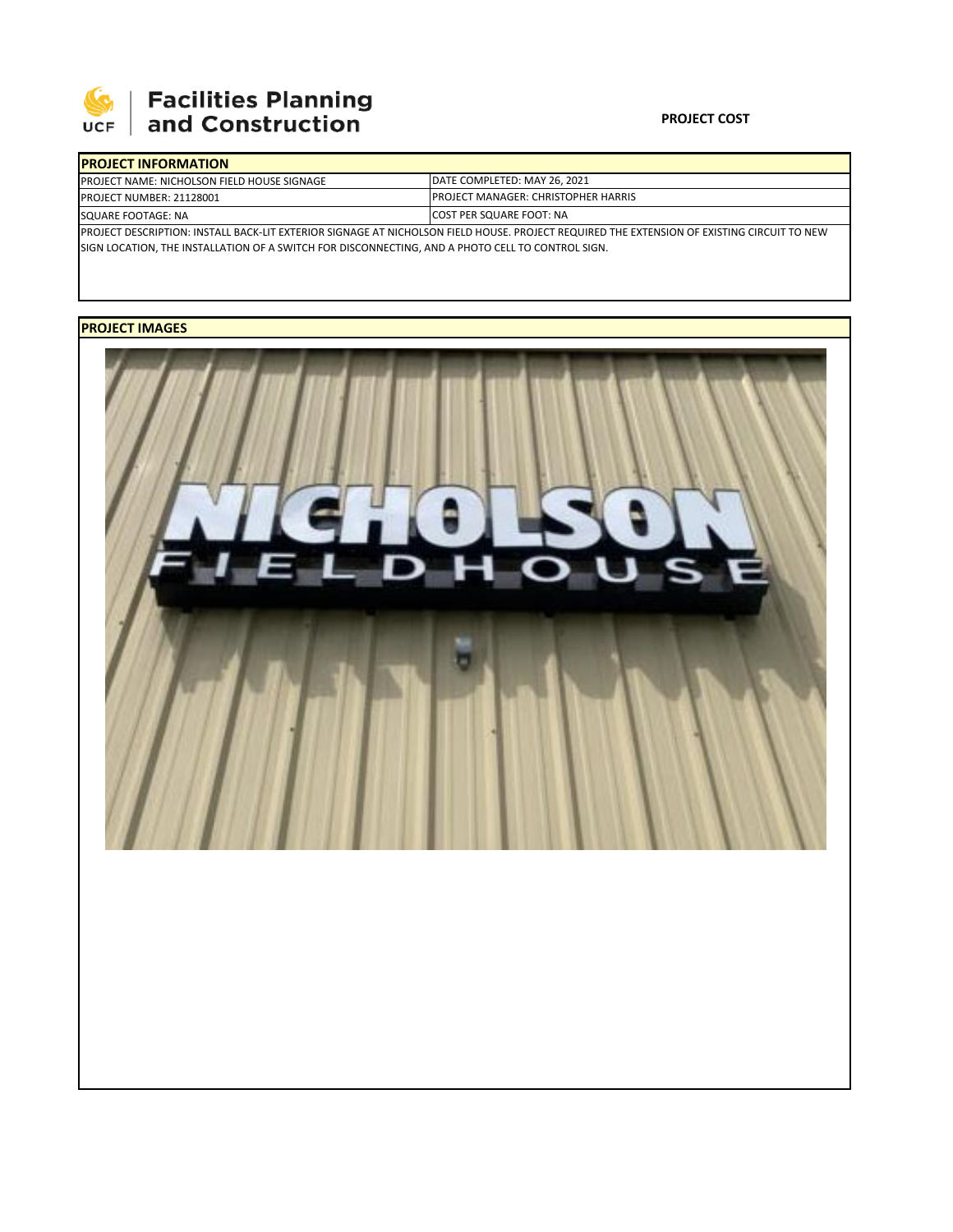

# **SEPTE AND Facilities Planning**<br>UCF and Construction

### **PROJECT COST**

| <b>IPROJECT INFORMATION</b>                                                                                                                |                                                                                                                |  |  |  |  |  |  |
|--------------------------------------------------------------------------------------------------------------------------------------------|----------------------------------------------------------------------------------------------------------------|--|--|--|--|--|--|
| <b>PROJECT NAME: NICHOLSON FIELD HOUSE SIGNAGE</b>                                                                                         | DATE COMPLETED: MAY 26, 2021<br><b>PROJECT MANAGER: CHRISTOPHER HARRIS</b><br><b>ICOST PER SQUARE FOOT: NA</b> |  |  |  |  |  |  |
| <b>PROJECT NUMBER: 21128001</b>                                                                                                            |                                                                                                                |  |  |  |  |  |  |
| SQUARE FOOTAGE: NA                                                                                                                         |                                                                                                                |  |  |  |  |  |  |
| PROJECT DESCRIPTION: INSTALL BACK-LIT EXTERIOR SIGNAGE AT NICHOLSON FIELD HOUSE. PROJECT REQUIRED THE EXTENSION OF EXISTING CIRCUIT TO NEW |                                                                                                                |  |  |  |  |  |  |
| SIGN LOCATION, THE INSTALLATION OF A SWITCH FOR DISCONNECTING, AND A PHOTO CELL TO CONTROL SIGN.                                           |                                                                                                                |  |  |  |  |  |  |

## **PROJECT IMAGES**